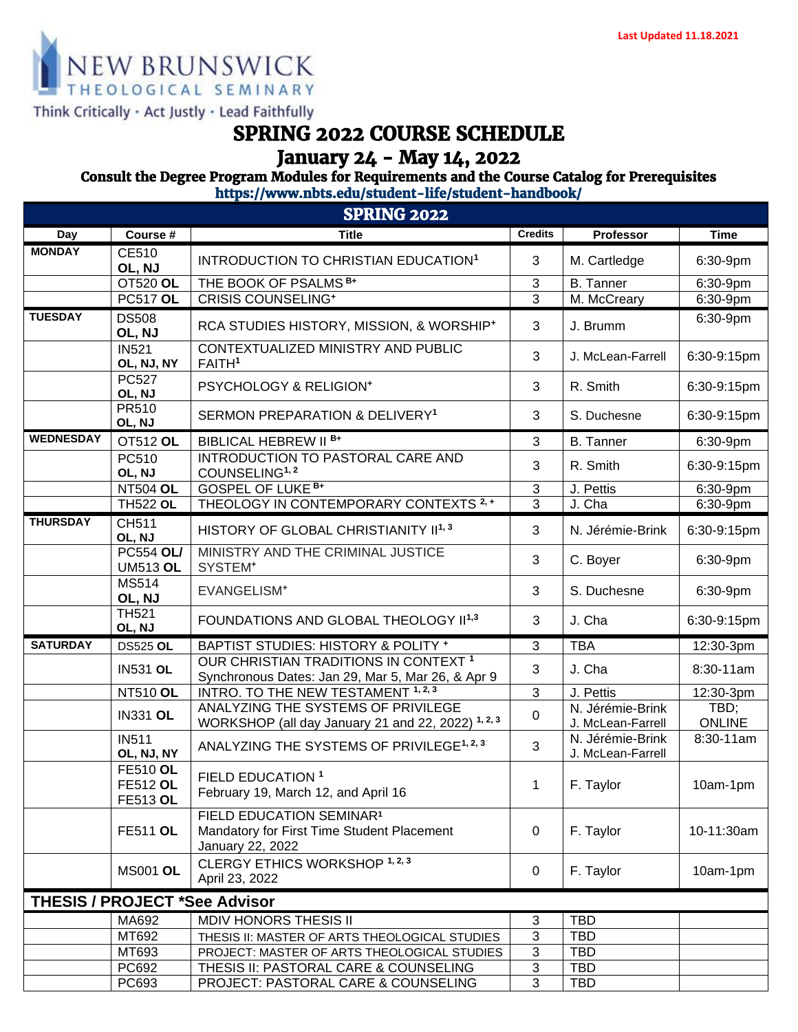

## Think Critically · Act Justly · Lead Faithfully

# *SPRING 2022 COURSE SCHEDULE*

## *January 24 - May 14, 2022*

## *Consult the Degree Program Modules for Requirements and the Course Catalog for Prerequisites*

*https://www.nbts.edu/student-life/student-handbook/* 

| <b>SPRING 2022</b>                   |                                                       |                                                                                                        |                |                                       |                       |  |  |
|--------------------------------------|-------------------------------------------------------|--------------------------------------------------------------------------------------------------------|----------------|---------------------------------------|-----------------------|--|--|
| Day                                  | Course #                                              | <b>Title</b>                                                                                           | <b>Credits</b> | Professor                             | <b>Time</b>           |  |  |
| <b>MONDAY</b>                        | CE510<br>OL, NJ                                       | INTRODUCTION TO CHRISTIAN EDUCATION <sup>1</sup>                                                       | 3              | M. Cartledge                          | 6:30-9pm              |  |  |
|                                      | OT520 OL                                              | THE BOOK OF PSALMS <sup>B+</sup>                                                                       | 3              | <b>B.</b> Tanner                      | 6:30-9pm              |  |  |
|                                      | <b>PC517 OL</b>                                       | <b>CRISIS COUNSELING*</b>                                                                              | $\overline{3}$ | M. McCreary                           | 6:30-9pm              |  |  |
| <b>TUESDAY</b>                       | <b>DS508</b><br>OL, NJ                                | RCA STUDIES HISTORY, MISSION, & WORSHIP+                                                               | 3              | J. Brumm                              | 6:30-9pm              |  |  |
|                                      | <b>IN521</b><br>OL, NJ, NY                            | CONTEXTUALIZED MINISTRY AND PUBLIC<br>FAITH <sup>1</sup>                                               | 3              | J. McLean-Farrell                     | 6:30-9:15pm           |  |  |
|                                      | <b>PC527</b><br>OL, NJ                                | PSYCHOLOGY & RELIGION*                                                                                 | 3              | R. Smith                              | 6:30-9:15pm           |  |  |
|                                      | PR510<br>OL, NJ                                       | SERMON PREPARATION & DELIVERY <sup>1</sup>                                                             | 3              | S. Duchesne                           | 6:30-9:15pm           |  |  |
| <b>WEDNESDAY</b>                     | OT512 OL                                              | BIBLICAL HEBREW II <sup>B+</sup>                                                                       | 3              | <b>B.</b> Tanner                      | 6:30-9pm              |  |  |
|                                      | PC510<br>OL, NJ                                       | <b>INTRODUCTION TO PASTORAL CARE AND</b><br>COUNSELING <sup>1, 2</sup>                                 | 3              | R. Smith                              | 6:30-9:15pm           |  |  |
|                                      | <b>NT504 OL</b>                                       | <b>GOSPEL OF LUKE B+</b>                                                                               | 3              | J. Pettis                             | 6:30-9pm              |  |  |
|                                      | <b>TH522 OL</b>                                       | THEOLOGY IN CONTEMPORARY CONTEXTS <sup>2,+</sup>                                                       | 3              | J. Cha                                | 6:30-9pm              |  |  |
| <b>THURSDAY</b>                      | CH511<br>OL, NJ                                       | HISTORY OF GLOBAL CHRISTIANITY II <sup>1,3</sup>                                                       | 3              | N. Jérémie-Brink                      | 6:30-9:15pm           |  |  |
|                                      | <b>PC554 OL/</b><br><b>UM513 OL</b>                   | MINISTRY AND THE CRIMINAL JUSTICE<br>SYSTEM <sup>+</sup>                                               | 3              | C. Boyer                              | 6:30-9pm              |  |  |
|                                      | <b>MS514</b><br>OL, NJ                                | EVANGELISM <sup>+</sup>                                                                                | 3              | S. Duchesne                           | 6:30-9pm              |  |  |
|                                      | <b>TH521</b><br>OL, NJ                                | FOUNDATIONS AND GLOBAL THEOLOGY II <sup>1,3</sup>                                                      | 3              | J. Cha                                | 6:30-9:15pm           |  |  |
| <b>SATURDAY</b>                      | <b>DS525 OL</b>                                       | BAPTIST STUDIES: HISTORY & POLITY +                                                                    | 3              | <b>TBA</b>                            | 12:30-3pm             |  |  |
|                                      | <b>IN531 OL</b>                                       | OUR CHRISTIAN TRADITIONS IN CONTEXT <sup>1</sup><br>Synchronous Dates: Jan 29, Mar 5, Mar 26, & Apr 9  | 3              | J. Cha                                | 8:30-11am             |  |  |
|                                      | <b>NT510 OL</b>                                       | INTRO. TO THE NEW TESTAMENT 1, 2, 3                                                                    | 3              | J. Pettis                             | 12:30-3pm             |  |  |
|                                      | <b>IN331 OL</b>                                       | ANALYZING THE SYSTEMS OF PRIVILEGE<br>WORKSHOP (all day January 21 and 22, 2022) 1, 2, 3               | $\mathbf 0$    | N. Jérémie-Brink<br>J. McLean-Farrell | TBD;<br><b>ONLINE</b> |  |  |
|                                      | <b>IN511</b><br>OL, NJ, NY                            | ANALYZING THE SYSTEMS OF PRIVILEGE <sup>1, 2, 3</sup>                                                  | 3              | N. Jérémie-Brink<br>J. McLean-Farrell | 8:30-11am             |  |  |
|                                      | <b>FE510 OL</b><br><b>FE512 OL</b><br><b>FE513 OL</b> | FIELD EDUCATION <sup>1</sup><br>February 19, March 12, and April 16                                    | 1              | F. Taylor                             | 10am-1pm              |  |  |
|                                      | <b>FE511 OL</b>                                       | FIELD EDUCATION SEMINAR <sup>1</sup><br>Mandatory for First Time Student Placement<br>January 22, 2022 | 0              | F. Taylor                             | 10-11:30am            |  |  |
|                                      | <b>MS001 OL</b>                                       | CLERGY ETHICS WORKSHOP 1, 2, 3<br>April 23, 2022                                                       | $\mathbf 0$    | F. Taylor                             | 10am-1pm              |  |  |
| <b>THESIS / PROJECT *See Advisor</b> |                                                       |                                                                                                        |                |                                       |                       |  |  |
|                                      | MA692                                                 | <b>MDIV HONORS THESIS II</b>                                                                           | $\mathfrak{S}$ | <b>TBD</b>                            |                       |  |  |
|                                      | MT692                                                 | THESIS II: MASTER OF ARTS THEOLOGICAL STUDIES                                                          | 3              | <b>TBD</b>                            |                       |  |  |
|                                      | MT693                                                 | PROJECT: MASTER OF ARTS THEOLOGICAL STUDIES                                                            | 3              | <b>TBD</b>                            |                       |  |  |
|                                      | PC692                                                 | THESIS II: PASTORAL CARE & COUNSELING                                                                  | 3              | <b>TBD</b>                            |                       |  |  |
|                                      | PC693                                                 | PROJECT: PASTORAL CARE & COUNSELING                                                                    | 3              | <b>TBD</b>                            |                       |  |  |